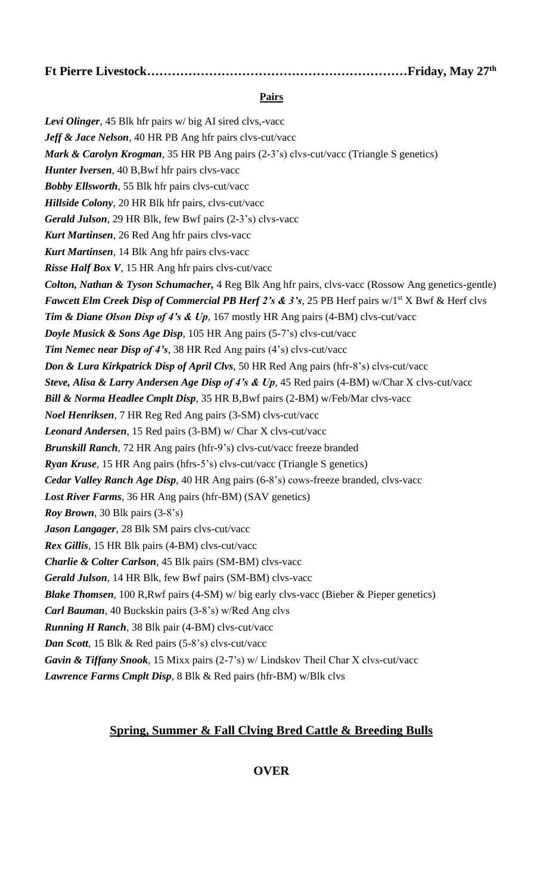**Ft Pierre Livestock………………………………………………………Friday, May 27th** 

### **Pairs**

Levi Olinger, 45 Blk hfr pairs w/ big AI sired clvs,-vacc *Jeff & Jace Nelson*, 40 HR PB Ang hfr pairs clvs-cut/vacc *Mark & Carolyn Krogman*, 35 HR PB Ang pairs (2-3's) clvs-cut/vacc (Triangle S genetics) *Hunter Iversen*, 40 B,Bwf hfr pairs clvs-vacc *Bobby Ellsworth*, 55 Blk hfr pairs clvs-cut/vacc *Hillside Colony*, 20 HR Blk hfr pairs, clvs-cut/vacc *Gerald Julson*, 29 HR Blk, few Bwf pairs (2-3's) clvs-vacc *Kurt Martinsen*, 26 Red Ang hfr pairs clvs-vacc *Kurt Martinsen*, 14 Blk Ang hfr pairs clvs-vacc *Risse Half Box V*, 15 HR Ang hfr pairs clvs-cut/vacc *Colton, Nathan & Tyson Schumacher,* 4 Reg Blk Ang hfr pairs, clvs-vacc (Rossow Ang genetics-gentle) *Fawcett Elm Creek Disp of Commercial PB Herf 2's & 3's, 25 PB Herf pairs w/1st X Bwf & Herf clvs Tim & Diane Olson Disp of 4's & Up*, 167 mostly HR Ang pairs (4-BM) clvs-cut/vacc *Doyle Musick & Sons Age Disp*, 105 HR Ang pairs (5-7's) clvs-cut/vacc *Tim Nemec near Disp of 4's*, 38 HR Red Ang pairs (4's) clvs-cut/vacc *Don & Lura Kirkpatrick Disp of April Clvs*, 50 HR Red Ang pairs (hfr-8's) clvs-cut/vacc *Steve, Alisa & Larry Andersen Age Disp of 4's & Up*, 45 Red pairs (4-BM) w/Char X clvs-cut/vacc *Bill & Norma Headlee Cmplt Disp*, 35 HR B,Bwf pairs (2-BM) w/Feb/Mar clvs-vacc *Noel Henriksen*, 7 HR Reg Red Ang pairs (3-SM) clvs-cut/vacc *Leonard Andersen*, 15 Red pairs (3-BM) w/ Char X clvs-cut/vacc *Brunskill Ranch*, 72 HR Ang pairs (hfr-9's) clvs-cut/vacc freeze branded *Ryan Kruse*, 15 HR Ang pairs (hfrs-5's) clvs-cut/vacc (Triangle S genetics) *Cedar Valley Ranch Age Disp*, 40 HR Ang pairs (6-8's) cows-freeze branded, clvs-vacc *Lost River Farms*, 36 HR Ang pairs (hfr-BM) (SAV genetics) *Roy Brown*, 30 Blk pairs (3-8's) *Jason Langager*, 28 Blk SM pairs clvs-cut/vacc *Rex Gillis*, 15 HR Blk pairs (4-BM) clvs-cut/vacc *Charlie & Colter Carlson*, 45 Blk pairs (SM-BM) clvs-vacc *Gerald Julson*, 14 HR Blk, few Bwf pairs (SM-BM) clvs-vacc *Blake Thomsen*, 100 R,Rwf pairs (4-SM) w/ big early clvs-vacc (Bieber & Pieper genetics) *Carl Bauman*, 40 Buckskin pairs (3-8's) w/Red Ang clvs *Running H Ranch*, 38 Blk pair (4-BM) clvs-cut/vacc *Dan Scott*, 15 Blk & Red pairs (5-8's) clvs-cut/vacc *Gavin & Tiffany Snook*, 15 Mixx pairs (2-7's) w/ Lindskov Theil Char X clvs-cut/vacc *Lawrence Farms Cmplt Disp*, 8 Blk & Red pairs (hfr-BM) w/Blk clvs

# **Spring, Summer & Fall Clving Bred Cattle & Breeding Bulls**

# **OVER**